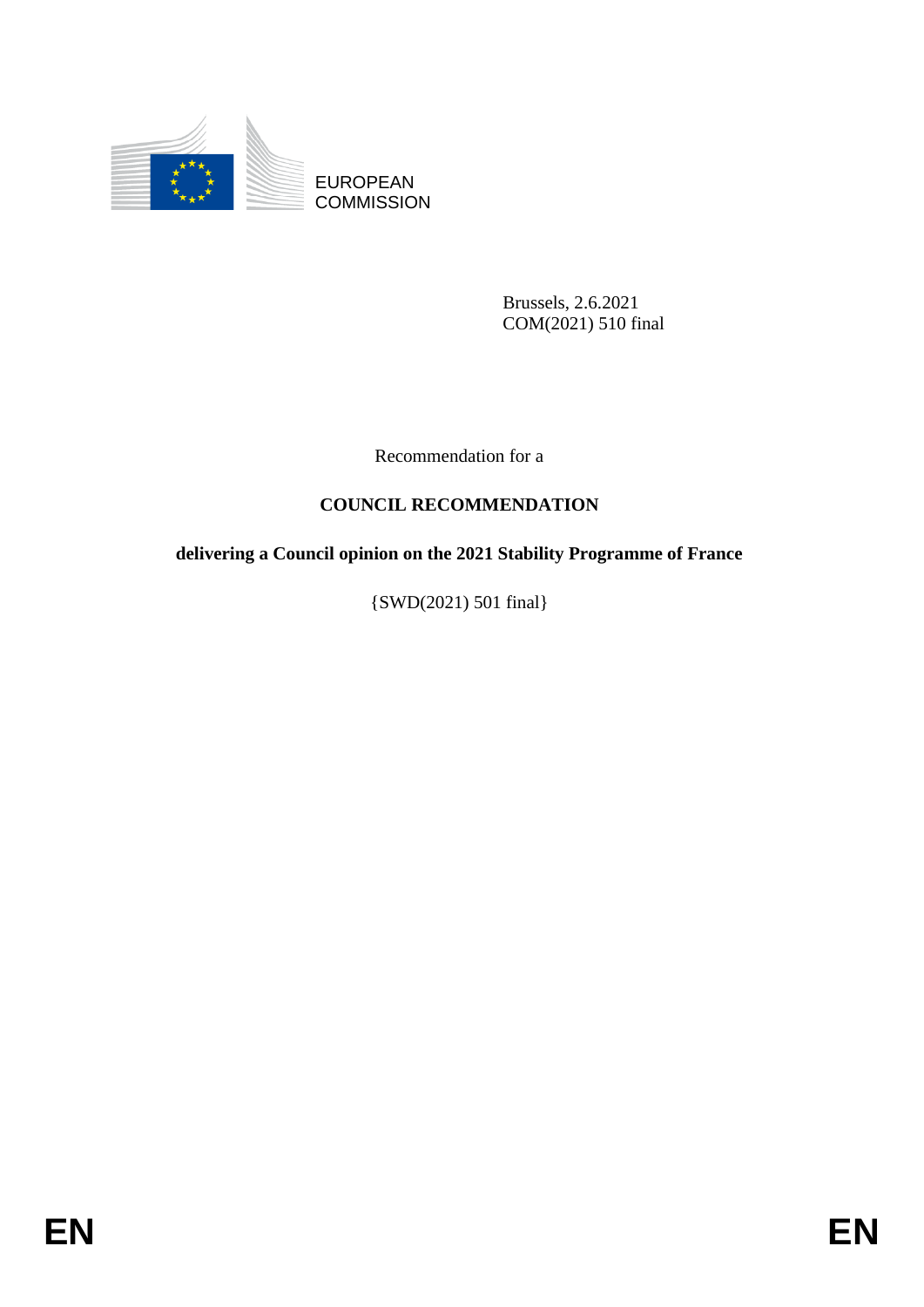

EUROPEAN **COMMISSION** 

> Brussels, 2.6.2021 COM(2021) 510 final

Recommendation for a

# **COUNCIL RECOMMENDATION**

## **delivering a Council opinion on the 2021 Stability Programme of France**

{SWD(2021) 501 final}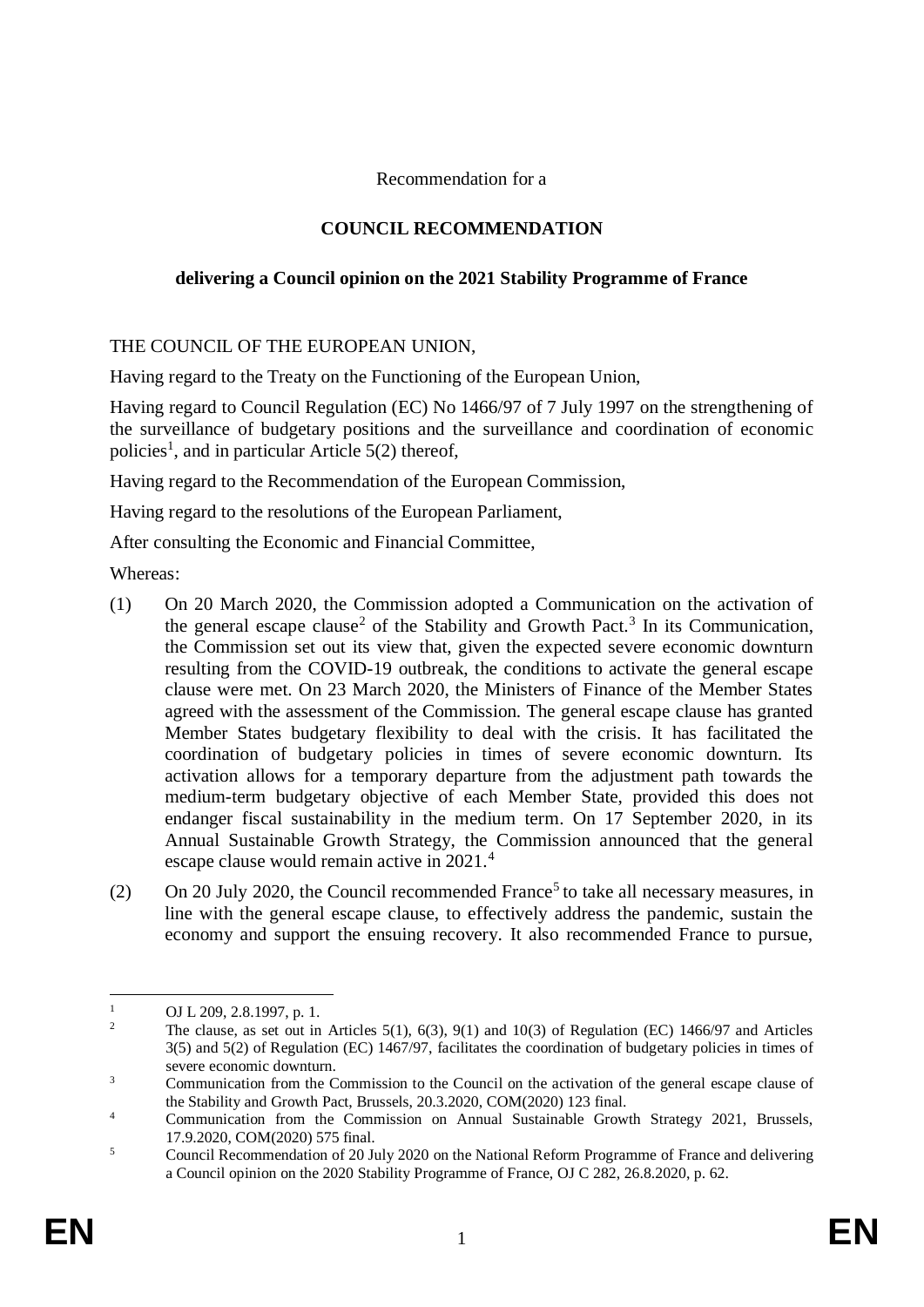### Recommendation for a

## **COUNCIL RECOMMENDATION**

### **delivering a Council opinion on the 2021 Stability Programme of France**

#### THE COUNCIL OF THE EUROPEAN UNION,

Having regard to the Treaty on the Functioning of the European Union,

Having regard to Council Regulation (EC) No 1466/97 of 7 July 1997 on the strengthening of the surveillance of budgetary positions and the surveillance and coordination of economic policies<sup>1</sup>, and in particular Article  $5(2)$  thereof,

Having regard to the Recommendation of the European Commission,

Having regard to the resolutions of the European Parliament,

After consulting the Economic and Financial Committee,

Whereas:

- (1) On 20 March 2020, the Commission adopted a Communication on the activation of the general escape clause<sup>2</sup> of the Stability and Growth Pact.<sup>3</sup> In its Communication, the Commission set out its view that, given the expected severe economic downturn resulting from the COVID-19 outbreak, the conditions to activate the general escape clause were met. On 23 March 2020, the Ministers of Finance of the Member States agreed with the assessment of the Commission. The general escape clause has granted Member States budgetary flexibility to deal with the crisis. It has facilitated the coordination of budgetary policies in times of severe economic downturn. Its activation allows for a temporary departure from the adjustment path towards the medium-term budgetary objective of each Member State, provided this does not endanger fiscal sustainability in the medium term. On 17 September 2020, in its Annual Sustainable Growth Strategy, the Commission announced that the general escape clause would remain active in 2021.<sup>4</sup>
- (2) On 20 July 2020, the Council recommended France<sup>5</sup> to take all necessary measures, in line with the general escape clause, to effectively address the pandemic, sustain the economy and support the ensuing recovery. It also recommended France to pursue,

 $\overline{a}$ 

<sup>&</sup>lt;sup>1</sup> OJ L 209, 2.8.1997, p. 1.<br><sup>2</sup> The clause as set out in

<sup>2</sup> The clause, as set out in Articles 5(1), 6(3), 9(1) and 10(3) of Regulation (EC) 1466/97 and Articles 3(5) and 5(2) of Regulation (EC) 1467/97, facilitates the coordination of budgetary policies in times of severe economic downturn.

<sup>&</sup>lt;sup>3</sup> Communication from the Commission to the Council on the activation of the general escape clause of the Stability and Growth Pact, Brussels, 20.3.2020, COM(2020) 123 final.

<sup>&</sup>lt;sup>4</sup> Communication from the Commission on Annual Sustainable Growth Strategy 2021, Brussels, 17.9.2020, COM(2020) 575 final.

<sup>&</sup>lt;sup>5</sup> Council Recommendation of 20 July 2020 on the National Reform Programme of France and delivering a Council opinion on the 2020 Stability Programme of France, OJ C 282, 26.8.2020, p. 62.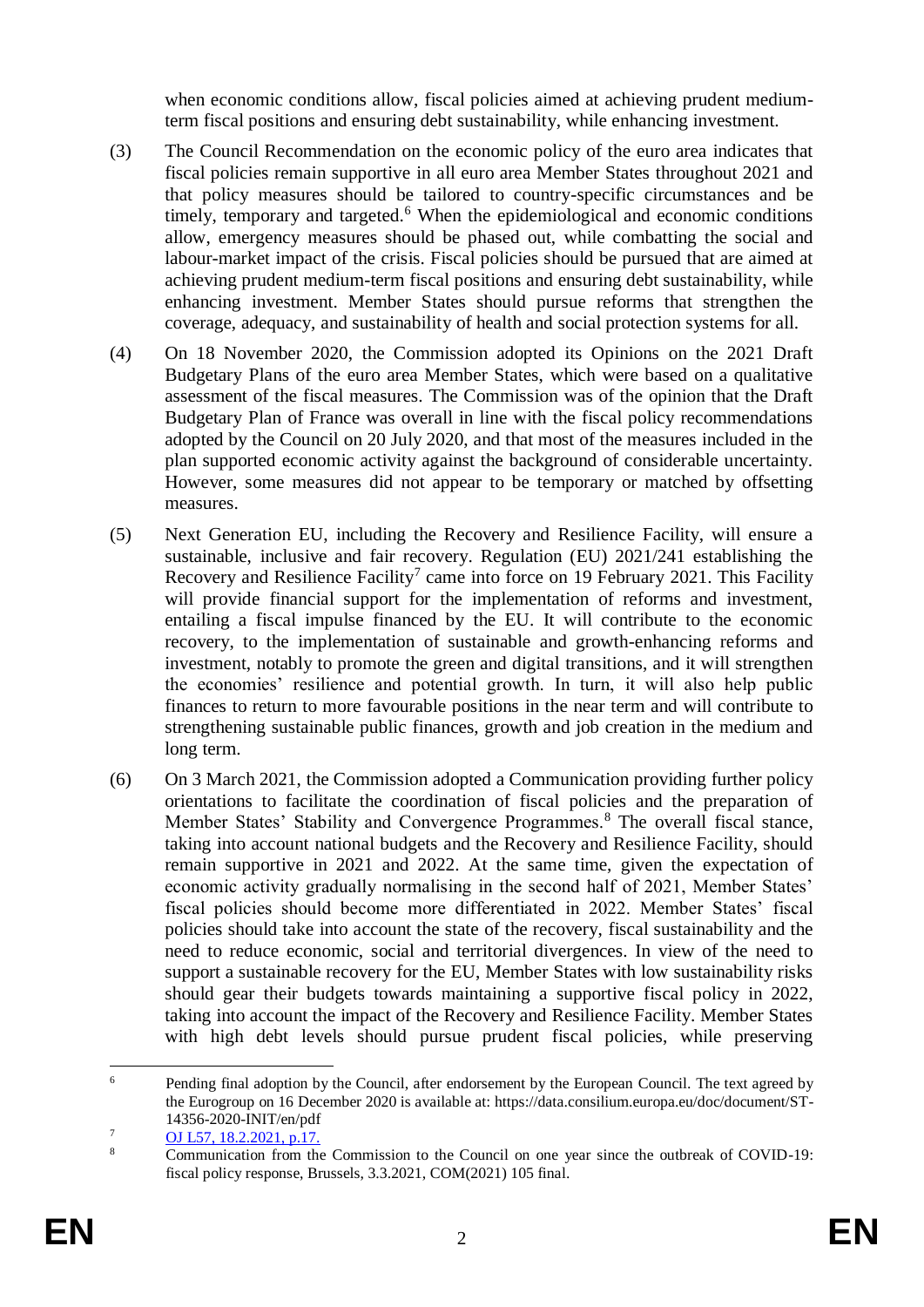when economic conditions allow, fiscal policies aimed at achieving prudent mediumterm fiscal positions and ensuring debt sustainability, while enhancing investment.

- (3) The Council Recommendation on the economic policy of the euro area indicates that fiscal policies remain supportive in all euro area Member States throughout 2021 and that policy measures should be tailored to country-specific circumstances and be timely, temporary and targeted.<sup>6</sup> When the epidemiological and economic conditions allow, emergency measures should be phased out, while combatting the social and labour-market impact of the crisis. Fiscal policies should be pursued that are aimed at achieving prudent medium-term fiscal positions and ensuring debt sustainability, while enhancing investment. Member States should pursue reforms that strengthen the coverage, adequacy, and sustainability of health and social protection systems for all.
- (4) On 18 November 2020, the Commission adopted its Opinions on the 2021 Draft Budgetary Plans of the euro area Member States, which were based on a qualitative assessment of the fiscal measures. The Commission was of the opinion that the Draft Budgetary Plan of France was overall in line with the fiscal policy recommendations adopted by the Council on 20 July 2020, and that most of the measures included in the plan supported economic activity against the background of considerable uncertainty. However, some measures did not appear to be temporary or matched by offsetting measures.
- (5) Next Generation EU, including the Recovery and Resilience Facility, will ensure a sustainable, inclusive and fair recovery. Regulation (EU) 2021/241 establishing the Recovery and Resilience Facility<sup>7</sup> came into force on 19 February 2021. This Facility will provide financial support for the implementation of reforms and investment, entailing a fiscal impulse financed by the EU. It will contribute to the economic recovery, to the implementation of sustainable and growth-enhancing reforms and investment, notably to promote the green and digital transitions, and it will strengthen the economies' resilience and potential growth. In turn, it will also help public finances to return to more favourable positions in the near term and will contribute to strengthening sustainable public finances, growth and job creation in the medium and long term.
- (6) On 3 March 2021, the Commission adopted a Communication providing further policy orientations to facilitate the coordination of fiscal policies and the preparation of Member States' Stability and Convergence Programmes.<sup>8</sup> The overall fiscal stance, taking into account national budgets and the Recovery and Resilience Facility, should remain supportive in 2021 and 2022. At the same time, given the expectation of economic activity gradually normalising in the second half of 2021, Member States' fiscal policies should become more differentiated in 2022. Member States' fiscal policies should take into account the state of the recovery, fiscal sustainability and the need to reduce economic, social and territorial divergences. In view of the need to support a sustainable recovery for the EU, Member States with low sustainability risks should gear their budgets towards maintaining a supportive fiscal policy in 2022, taking into account the impact of the Recovery and Resilience Facility. Member States with high debt levels should pursue prudent fiscal policies, while preserving

 $\sqrt{6}$ <sup>6</sup> Pending final adoption by the Council, after endorsement by the European Council. The text agreed by the Eurogroup on 16 December 2020 is available at: https://data.consilium.europa.eu/doc/document/ST-14356-2020-INIT/en/pdf

 $\frac{7}{8}$  [OJ](https://eur-lex.europa.eu/legal-content/EN/TXT/PDF/?uri=OJ:L:2021:057:FULL&from=EN) L57, 18.2.2021, p.17.

<sup>8</sup> Communication from the Commission to the Council on one year since the outbreak of COVID-19: fiscal policy response, Brussels, 3.3.2021, COM(2021) 105 final.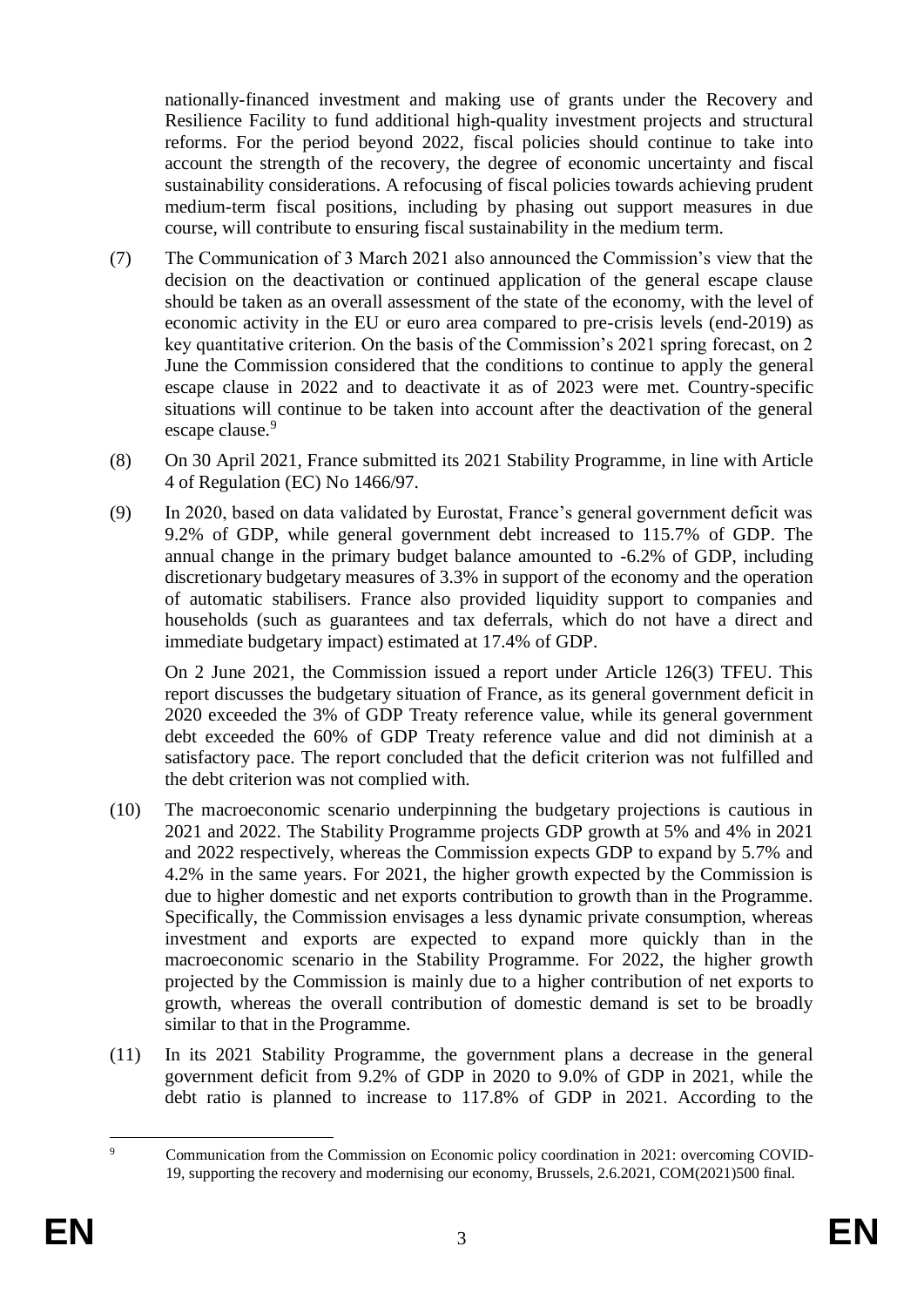nationally-financed investment and making use of grants under the Recovery and Resilience Facility to fund additional high-quality investment projects and structural reforms. For the period beyond 2022, fiscal policies should continue to take into account the strength of the recovery, the degree of economic uncertainty and fiscal sustainability considerations. A refocusing of fiscal policies towards achieving prudent medium-term fiscal positions, including by phasing out support measures in due course, will contribute to ensuring fiscal sustainability in the medium term.

- (7) The Communication of 3 March 2021 also announced the Commission's view that the decision on the deactivation or continued application of the general escape clause should be taken as an overall assessment of the state of the economy, with the level of economic activity in the EU or euro area compared to pre-crisis levels (end-2019) as key quantitative criterion. On the basis of the Commission's 2021 spring forecast, on 2 June the Commission considered that the conditions to continue to apply the general escape clause in 2022 and to deactivate it as of 2023 were met. Country-specific situations will continue to be taken into account after the deactivation of the general escape clause.<sup>9</sup>
- (8) On 30 April 2021, France submitted its 2021 Stability Programme, in line with Article 4 of Regulation (EC) No 1466/97.
- (9) In 2020, based on data validated by Eurostat, France's general government deficit was 9.2% of GDP, while general government debt increased to 115.7% of GDP. The annual change in the primary budget balance amounted to -6.2% of GDP, including discretionary budgetary measures of 3.3% in support of the economy and the operation of automatic stabilisers. France also provided liquidity support to companies and households (such as guarantees and tax deferrals, which do not have a direct and immediate budgetary impact) estimated at 17.4% of GDP.

On 2 June 2021, the Commission issued a report under Article 126(3) TFEU. This report discusses the budgetary situation of France, as its general government deficit in 2020 exceeded the 3% of GDP Treaty reference value, while its general government debt exceeded the 60% of GDP Treaty reference value and did not diminish at a satisfactory pace. The report concluded that the deficit criterion was not fulfilled and the debt criterion was not complied with.

- (10) The macroeconomic scenario underpinning the budgetary projections is cautious in 2021 and 2022. The Stability Programme projects GDP growth at 5% and 4% in 2021 and 2022 respectively, whereas the Commission expects GDP to expand by 5.7% and 4.2% in the same years. For 2021, the higher growth expected by the Commission is due to higher domestic and net exports contribution to growth than in the Programme. Specifically, the Commission envisages a less dynamic private consumption, whereas investment and exports are expected to expand more quickly than in the macroeconomic scenario in the Stability Programme. For 2022, the higher growth projected by the Commission is mainly due to a higher contribution of net exports to growth, whereas the overall contribution of domestic demand is set to be broadly similar to that in the Programme.
- (11) In its 2021 Stability Programme, the government plans a decrease in the general government deficit from 9.2% of GDP in 2020 to 9.0% of GDP in 2021, while the debt ratio is planned to increase to 117.8% of GDP in 2021. According to the

 $\alpha$ Communication from the Commission on Economic policy coordination in 2021: overcoming COVID-19, supporting the recovery and modernising our economy, Brussels, 2.6.2021, COM(2021)500 final.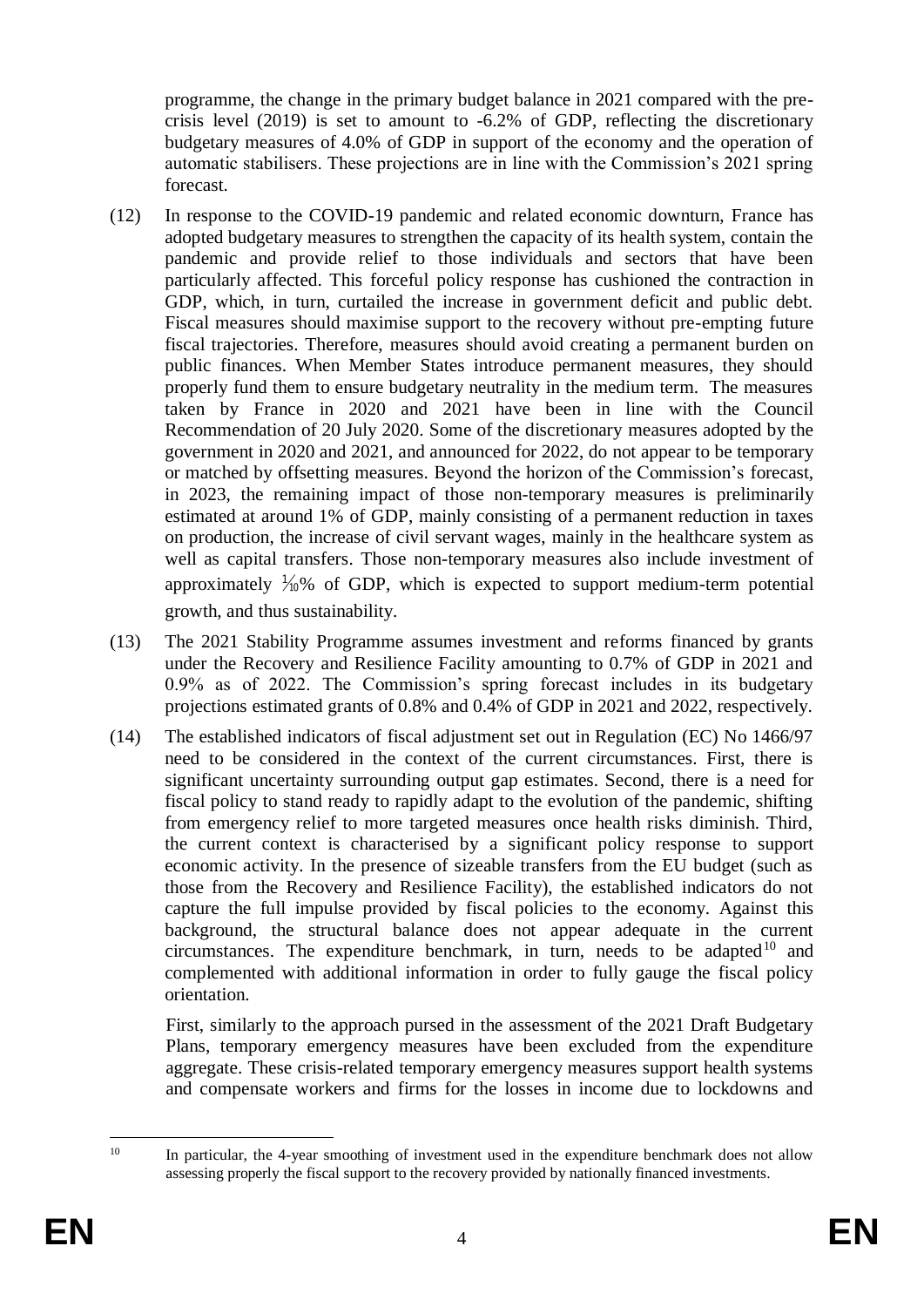programme, the change in the primary budget balance in 2021 compared with the precrisis level (2019) is set to amount to -6.2% of GDP, reflecting the discretionary budgetary measures of 4.0% of GDP in support of the economy and the operation of automatic stabilisers. These projections are in line with the Commission's 2021 spring forecast.

- (12) In response to the COVID-19 pandemic and related economic downturn, France has adopted budgetary measures to strengthen the capacity of its health system, contain the pandemic and provide relief to those individuals and sectors that have been particularly affected. This forceful policy response has cushioned the contraction in GDP, which, in turn, curtailed the increase in government deficit and public debt. Fiscal measures should maximise support to the recovery without pre-empting future fiscal trajectories. Therefore, measures should avoid creating a permanent burden on public finances. When Member States introduce permanent measures, they should properly fund them to ensure budgetary neutrality in the medium term. The measures taken by France in 2020 and 2021 have been in line with the Council Recommendation of 20 July 2020. Some of the discretionary measures adopted by the government in 2020 and 2021, and announced for 2022, do not appear to be temporary or matched by offsetting measures. Beyond the horizon of the Commission's forecast, in 2023, the remaining impact of those non-temporary measures is preliminarily estimated at around 1% of GDP, mainly consisting of a permanent reduction in taxes on production, the increase of civil servant wages, mainly in the healthcare system as well as capital transfers. Those non-temporary measures also include investment of approximately  $\frac{1}{10}$ % of GDP, which is expected to support medium-term potential growth, and thus sustainability.
- (13) The 2021 Stability Programme assumes investment and reforms financed by grants under the Recovery and Resilience Facility amounting to 0.7% of GDP in 2021 and 0.9% as of 2022. The Commission's spring forecast includes in its budgetary projections estimated grants of 0.8% and 0.4% of GDP in 2021 and 2022, respectively.
- (14) The established indicators of fiscal adjustment set out in Regulation (EC) No 1466/97 need to be considered in the context of the current circumstances. First, there is significant uncertainty surrounding output gap estimates. Second, there is a need for fiscal policy to stand ready to rapidly adapt to the evolution of the pandemic, shifting from emergency relief to more targeted measures once health risks diminish. Third, the current context is characterised by a significant policy response to support economic activity. In the presence of sizeable transfers from the EU budget (such as those from the Recovery and Resilience Facility), the established indicators do not capture the full impulse provided by fiscal policies to the economy. Against this background, the structural balance does not appear adequate in the current circumstances. The expenditure benchmark, in turn, needs to be adapted<sup>10</sup> and complemented with additional information in order to fully gauge the fiscal policy orientation.

First, similarly to the approach pursed in the assessment of the 2021 Draft Budgetary Plans, temporary emergency measures have been excluded from the expenditure aggregate. These crisis-related temporary emergency measures support health systems and compensate workers and firms for the losses in income due to lockdowns and

 $10<sup>1</sup>$ In particular, the 4-year smoothing of investment used in the expenditure benchmark does not allow assessing properly the fiscal support to the recovery provided by nationally financed investments.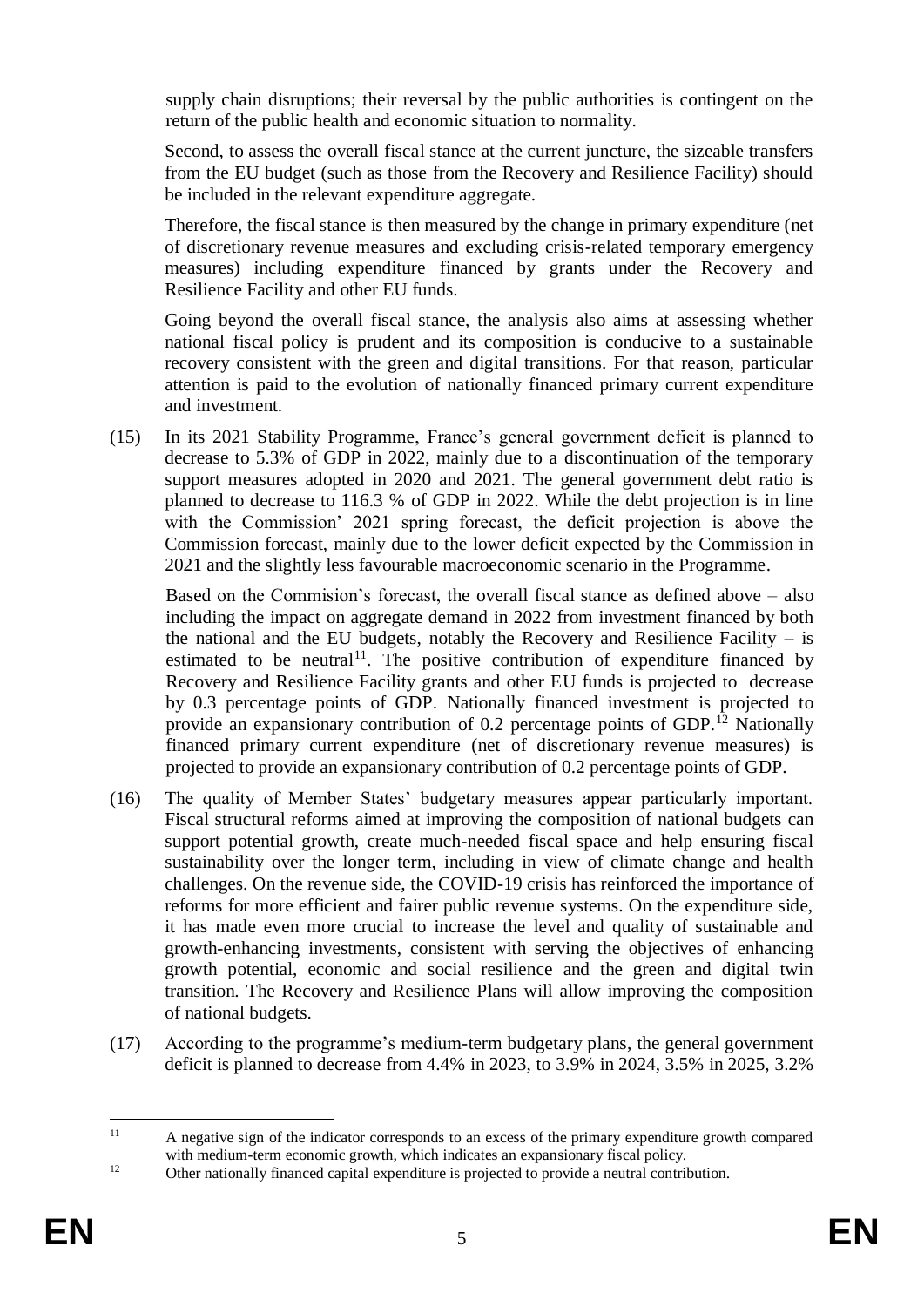supply chain disruptions; their reversal by the public authorities is contingent on the return of the public health and economic situation to normality.

Second, to assess the overall fiscal stance at the current juncture, the sizeable transfers from the EU budget (such as those from the Recovery and Resilience Facility) should be included in the relevant expenditure aggregate.

Therefore, the fiscal stance is then measured by the change in primary expenditure (net of discretionary revenue measures and excluding crisis-related temporary emergency measures) including expenditure financed by grants under the Recovery and Resilience Facility and other EU funds.

Going beyond the overall fiscal stance, the analysis also aims at assessing whether national fiscal policy is prudent and its composition is conducive to a sustainable recovery consistent with the green and digital transitions. For that reason, particular attention is paid to the evolution of nationally financed primary current expenditure and investment.

(15) In its 2021 Stability Programme, France's general government deficit is planned to decrease to 5.3% of GDP in 2022, mainly due to a discontinuation of the temporary support measures adopted in 2020 and 2021. The general government debt ratio is planned to decrease to 116.3 % of GDP in 2022. While the debt projection is in line with the Commission' 2021 spring forecast, the deficit projection is above the Commission forecast, mainly due to the lower deficit expected by the Commission in 2021 and the slightly less favourable macroeconomic scenario in the Programme.

Based on the Commision's forecast, the overall fiscal stance as defined above – also including the impact on aggregate demand in 2022 from investment financed by both the national and the EU budgets, notably the Recovery and Resilience Facility  $-$  is estimated to be neutral<sup>11</sup>. The positive contribution of expenditure financed by Recovery and Resilience Facility grants and other EU funds is projected to decrease by 0.3 percentage points of GDP. Nationally financed investment is projected to provide an expansionary contribution of  $0.2$  percentage points of GDP.<sup>12</sup> Nationally financed primary current expenditure (net of discretionary revenue measures) is projected to provide an expansionary contribution of 0.2 percentage points of GDP.

- (16) The quality of Member States' budgetary measures appear particularly important. Fiscal structural reforms aimed at improving the composition of national budgets can support potential growth, create much-needed fiscal space and help ensuring fiscal sustainability over the longer term, including in view of climate change and health challenges. On the revenue side, the COVID-19 crisis has reinforced the importance of reforms for more efficient and fairer public revenue systems. On the expenditure side, it has made even more crucial to increase the level and quality of sustainable and growth-enhancing investments, consistent with serving the objectives of enhancing growth potential, economic and social resilience and the green and digital twin transition. The Recovery and Resilience Plans will allow improving the composition of national budgets.
- (17) According to the programme's medium-term budgetary plans, the general government deficit is planned to decrease from 4.4% in 2023, to 3.9% in 2024, 3.5% in 2025, 3.2%

 $\overline{11}$ <sup>11</sup> A negative sign of the indicator corresponds to an excess of the primary expenditure growth compared with medium-term economic growth, which indicates an expansionary fiscal policy.

<sup>&</sup>lt;sup>12</sup> Other nationally financed capital expenditure is projected to provide a neutral contribution.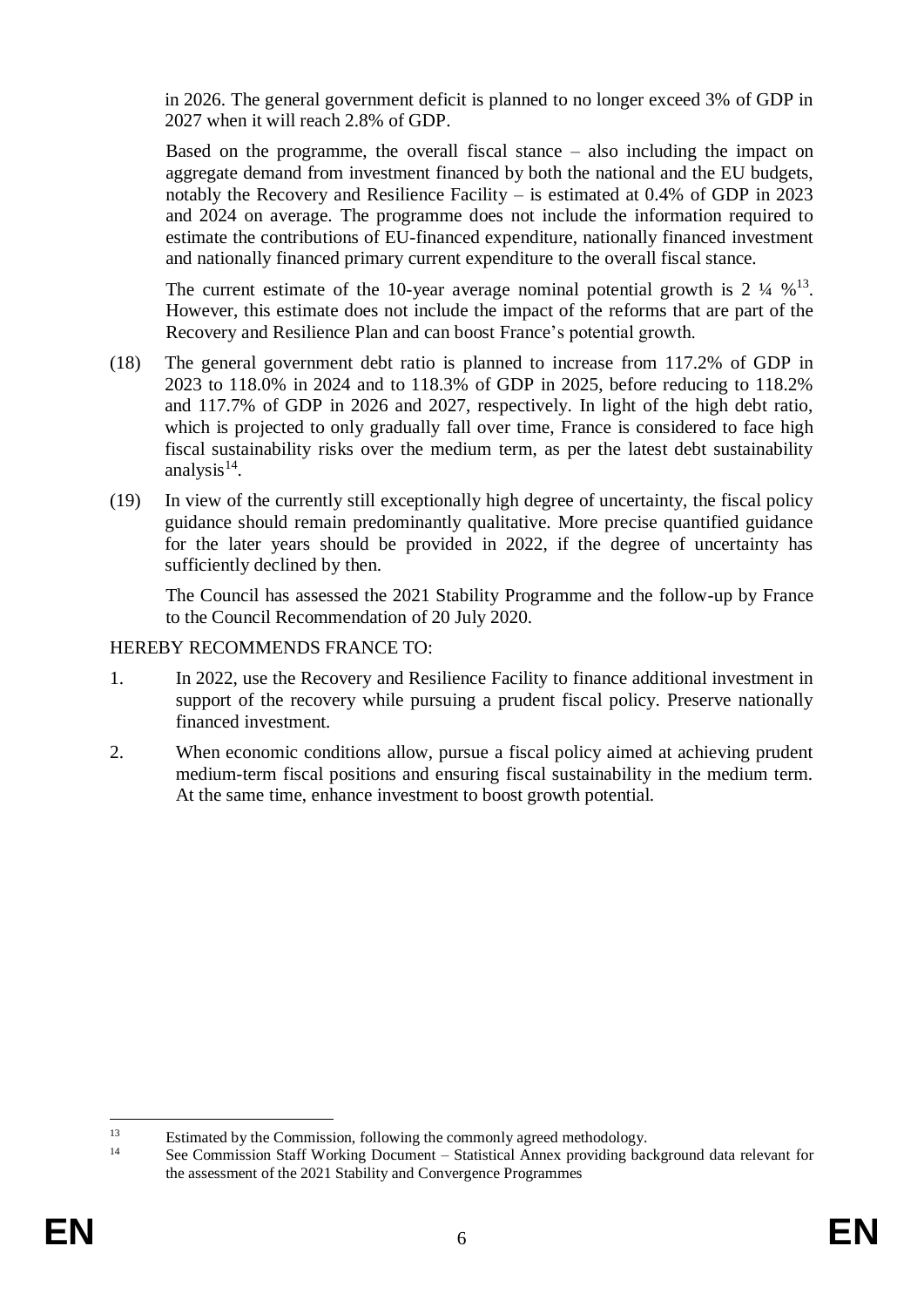in 2026. The general government deficit is planned to no longer exceed 3% of GDP in 2027 when it will reach 2.8% of GDP.

Based on the programme, the overall fiscal stance – also including the impact on aggregate demand from investment financed by both the national and the EU budgets, notably the Recovery and Resilience Facility – is estimated at 0.4% of GDP in 2023 and 2024 on average. The programme does not include the information required to estimate the contributions of EU-financed expenditure, nationally financed investment and nationally financed primary current expenditure to the overall fiscal stance.

The current estimate of the 10-year average nominal potential growth is  $2 \frac{1}{4} \frac{1}{2}$ . However, this estimate does not include the impact of the reforms that are part of the Recovery and Resilience Plan and can boost France's potential growth.

- (18) The general government debt ratio is planned to increase from 117.2% of GDP in 2023 to 118.0% in 2024 and to 118.3% of GDP in 2025, before reducing to 118.2% and 117.7% of GDP in 2026 and 2027, respectively. In light of the high debt ratio, which is projected to only gradually fall over time, France is considered to face high fiscal sustainability risks over the medium term, as per the latest debt sustainability analysis $14$ .
- (19) In view of the currently still exceptionally high degree of uncertainty, the fiscal policy guidance should remain predominantly qualitative. More precise quantified guidance for the later years should be provided in 2022, if the degree of uncertainty has sufficiently declined by then.

The Council has assessed the 2021 Stability Programme and the follow-up by France to the Council Recommendation of 20 July 2020.

#### HEREBY RECOMMENDS FRANCE TO:

- 1. In 2022, use the Recovery and Resilience Facility to finance additional investment in support of the recovery while pursuing a prudent fiscal policy. Preserve nationally financed investment.
- 2. When economic conditions allow, pursue a fiscal policy aimed at achieving prudent medium-term fiscal positions and ensuring fiscal sustainability in the medium term. At the same time, enhance investment to boost growth potential.

 $13$ <sup>13</sup> Estimated by the Commission, following the commonly agreed methodology.

<sup>14</sup> See Commission Staff Working Document – Statistical Annex providing background data relevant for the assessment of the 2021 Stability and Convergence Programmes